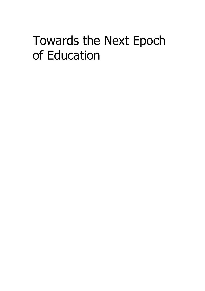## Towards the Next Epoch of Education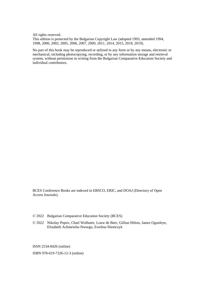All rights reserved.

This edition is protected by the Bulgarian Copyright Law (adopted 1993, amended 1994, 1998, 2000, 2002, 2005, 2006, 2007, 2009, 2011, 2014, 2015, 2018, 2019).

No part of this book may be reproduced or utilized in any form or by any means, electronic or mechanical, including photocopying, recording, or by any information storage and retrieval system, without permission in writing from the Bulgarian Comparative Education Society and individual contributors.

BCES Conference Books are indexed in EBSCO, ERIC, and DOAJ (Directory of Open Access Journals).

- © 2022 Bulgarian Comparative Education Society (BCES)
- © 2022 Nikolay Popov, Charl Wolhuter, Louw de Beer, Gillian Hilton, James Ogunleye, Elizabeth Achinewhu-Nworgu, Ewelina Niemczyk

ISSN 2534-8426 (online)

ISBN 978-619-7326-12-3 (online)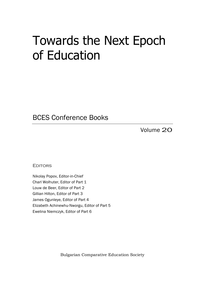## Towards the Next Epoch of Education

BCES Conference Books

Volume 20

**EDITORS** 

Nikolay Popov, Editor-in-Chief Charl Wolhuter, Editor of Part 1 Louw de Beer, Editor of Part 2 Gillian Hilton, Editor of Part 3 James Ogunleye, Editor of Part 4 Elizabeth Achinewhu-Nworgu, Editor of Part 5 Ewelina Niemczyk, Editor of Part 6

Bulgarian Comparative Education Society